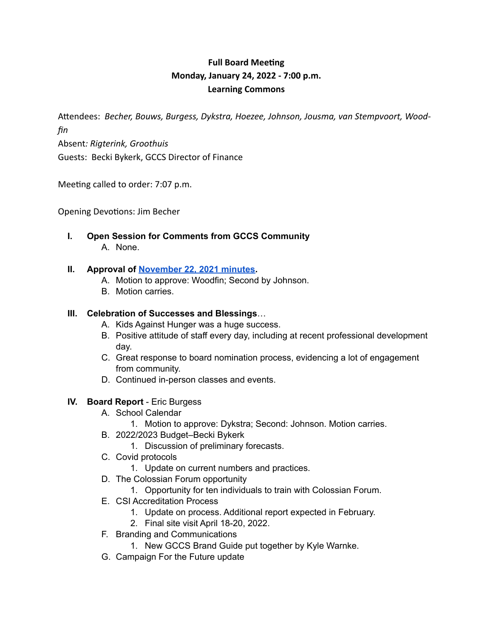# **Full Board Meeting Monday, January 24, 2022 - 7:00 p.m. Learning Commons**

A"endees: *Becher, Bouws, Burgess, Dykstra, Hoezee, Johnson, Jousma, van Stempvoort, Woodfin*  Absent*: Rigterink, Groothuis* 

Guests: Becki Bykerk, GCCS Director of Finance

Meeting called to order: 7:07 p.m.

Opening Devotions: Jim Becher

**I. Open Session for Comments from GCCS Community** A. None.

## **II. Approval of November 22, 2021 minutes.**

- A. Motion to approve: Woodfin; Second by Johnson.
- B. Motion carries.

## **III. Celebration of Successes and Blessings**…

- A. Kids Against Hunger was a huge success.
- B. Positive attitude of staff every day, including at recent professional development day.
- C. Great response to board nomination process, evidencing a lot of engagement from community.
- D. Continued in-person classes and events.

# **IV. Board Report** - Eric Burgess

- A. School Calendar
	- 1. Motion to approve: Dykstra; Second: Johnson. Motion carries.
- B. 2022/2023 Budget–Becki Bykerk
	- 1. Discussion of preliminary forecasts.
- C. Covid protocols
	- 1. Update on current numbers and practices.
- D. The Colossian Forum opportunity
	- 1. Opportunity for ten individuals to train with Colossian Forum.
- E. CSI Accreditation Process
	- 1. Update on process. Additional report expected in February.
	- 2. Final site visit April 18-20, 2022.
- F. Branding and Communications
	- 1. New GCCS Brand Guide put together by Kyle Warnke.
- G. Campaign For the Future update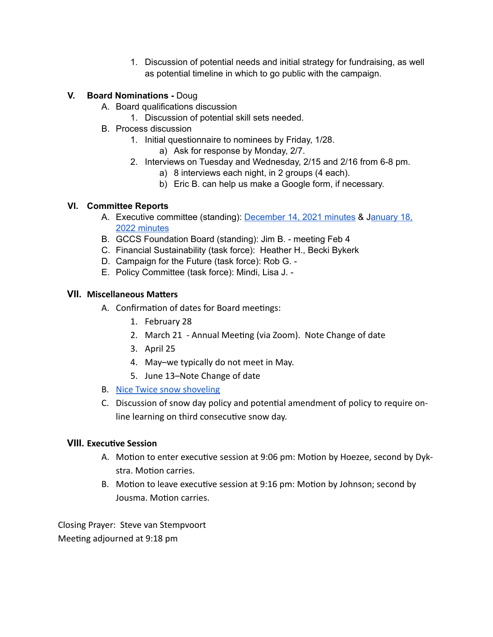1. Discussion of potential needs and initial strategy for fundraising, as well as potential timeline in which to go public with the campaign.

## **V. Board Nominations -** Doug

- A. Board qualifications discussion
	- 1. Discussion of potential skill sets needed.
- B. Process discussion
	- 1. Initial questionnaire to nominees by Friday, 1/28.
		- a) Ask for response by Monday, 2/7.
	- 2. Interviews on Tuesday and Wednesday, 2/15 and 2/16 from 6-8 pm.
		- a) 8 interviews each night, in 2 groups (4 each).
		- b) Eric B. can help us make a Google form, if necessary.

### **VI. Committee Reports**

- A. Executive committee (standing): December 14, 2021 minutes & January 18, 2022 minutes
- B. GCCS Foundation Board (standing): Jim B. meeting Feb 4
- C. Financial Sustainability (task force): Heather H., Becki Bykerk
- D. Campaign for the Future (task force): Rob G. -
- E. Policy Committee (task force): Mindi, Lisa J. -

### **VII.** Miscellaneous Matters

- A. Confirmation of dates for Board meetings:
	- 1. February 28
	- 2. March 21 Annual Meeting (via Zoom). Note Change of date
	- 3. April 25
	- 4. May–we typically do not meet in May.
	- 5. June 13–Note Change of date
- B. Nice Twice snow shoveling
- C. Discussion of snow day policy and potential amendment of policy to require online learning on third consecutive snow day.

### **VIII.** Executive Session

- A. Motion to enter executive session at 9:06 pm: Motion by Hoezee, second by Dykstra. Motion carries.
- B. Motion to leave executive session at 9:16 pm: Motion by Johnson; second by Jousma. Motion carries.

Closing Prayer: Steve van Stempvoort Meeting adjourned at 9:18 pm